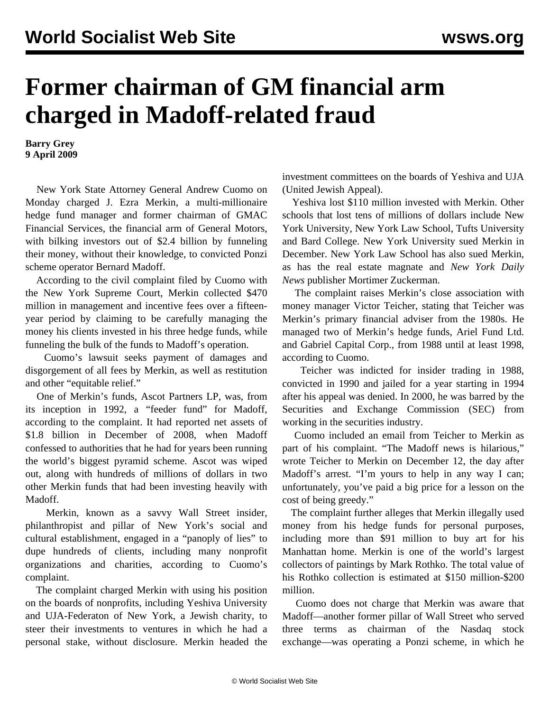## **Former chairman of GM financial arm charged in Madoff-related fraud**

**Barry Grey 9 April 2009**

 New York State Attorney General Andrew Cuomo on Monday charged J. Ezra Merkin, a multi-millionaire hedge fund manager and former chairman of GMAC Financial Services, the financial arm of General Motors, with bilking investors out of \$2.4 billion by funneling their money, without their knowledge, to convicted Ponzi scheme operator Bernard Madoff.

 According to the civil complaint filed by Cuomo with the New York Supreme Court, Merkin collected \$470 million in management and incentive fees over a fifteenyear period by claiming to be carefully managing the money his clients invested in his three hedge funds, while funneling the bulk of the funds to Madoff's operation.

 Cuomo's lawsuit seeks payment of damages and disgorgement of all fees by Merkin, as well as restitution and other "equitable relief."

 One of Merkin's funds, Ascot Partners LP, was, from its inception in 1992, a "feeder fund" for Madoff, according to the complaint. It had reported net assets of \$1.8 billion in December of 2008, when Madoff confessed to authorities that he had for years been running the world's biggest pyramid scheme. Ascot was wiped out, along with hundreds of millions of dollars in two other Merkin funds that had been investing heavily with Madoff.

 Merkin, known as a savvy Wall Street insider, philanthropist and pillar of New York's social and cultural establishment, engaged in a "panoply of lies" to dupe hundreds of clients, including many nonprofit organizations and charities, according to Cuomo's complaint.

 The complaint charged Merkin with using his position on the boards of nonprofits, including Yeshiva University and UJA-Federaton of New York, a Jewish charity, to steer their investments to ventures in which he had a personal stake, without disclosure. Merkin headed the

investment committees on the boards of Yeshiva and UJA (United Jewish Appeal).

 Yeshiva lost \$110 million invested with Merkin. Other schools that lost tens of millions of dollars include New York University, New York Law School, Tufts University and Bard College. New York University sued Merkin in December. New York Law School has also sued Merkin, as has the real estate magnate and *New York Daily News* publisher Mortimer Zuckerman.

 The complaint raises Merkin's close association with money manager Victor Teicher, stating that Teicher was Merkin's primary financial adviser from the 1980s. He managed two of Merkin's hedge funds, Ariel Fund Ltd. and Gabriel Capital Corp., from 1988 until at least 1998, according to Cuomo.

 Teicher was indicted for insider trading in 1988, convicted in 1990 and jailed for a year starting in 1994 after his appeal was denied. In 2000, he was barred by the Securities and Exchange Commission (SEC) from working in the securities industry.

 Cuomo included an email from Teicher to Merkin as part of his complaint. "The Madoff news is hilarious," wrote Teicher to Merkin on December 12, the day after Madoff's arrest. "I'm yours to help in any way I can; unfortunately, you've paid a big price for a lesson on the cost of being greedy."

 The complaint further alleges that Merkin illegally used money from his hedge funds for personal purposes, including more than \$91 million to buy art for his Manhattan home. Merkin is one of the world's largest collectors of paintings by Mark Rothko. The total value of his Rothko collection is estimated at \$150 million-\$200 million.

 Cuomo does not charge that Merkin was aware that Madoff—another former pillar of Wall Street who served three terms as chairman of the Nasdaq stock exchange—was operating a Ponzi scheme, in which he